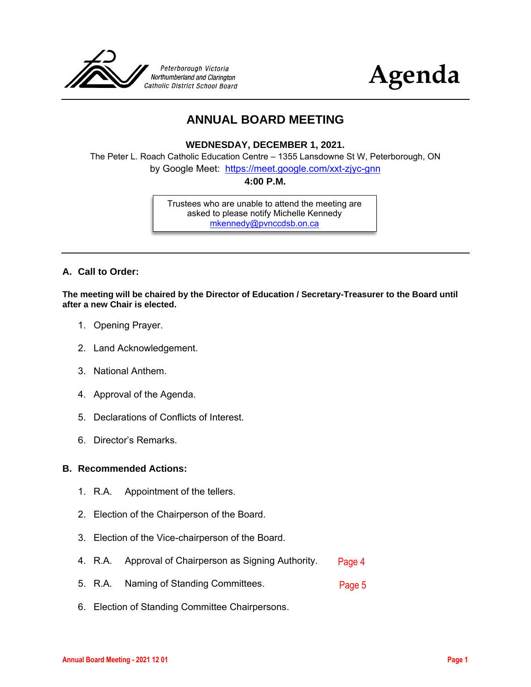



### **ANNUAL BOARD MEETING**

**WEDNESDAY, DECEMBER 1, 2021.**

The Peter L. Roach Catholic Education Centre – 1355 Lansdowne St W, Peterborough, ON

by Google Meet: <https://meet.google.com/xxt-zjyc-gnn>

**4:00 P.M.**

Trustees who are unable to attend the meeting are asked to please notify Michelle Kennedy [mkennedy@pvnccdsb.on.ca](mailto:mkennedy@pvnccdsb.on.ca)

#### **A. Call to Order:**

**The meeting will be chaired by the Director of Education / Secretary-Treasurer to the Board until after a new Chair is elected.**

- 1. Opening Prayer.
- 2. Land Acknowledgement.
- 3. National Anthem.
- 4. Approval of the Agenda.
- 5. Declarations of Conflicts of Interest.
- 6. Director's Remarks.

#### **B. Recommended Actions:**

- 1. R.A. Appointment of the tellers.
- 2. Election of the Chairperson of the Board.
- 3. Election of the Vice-chairperson of the Board.
- 4. R.A. Approval of Chairperson as Signing Authority. [Page 4](#page-3-0)
- 5. R.A. Naming of Standing Committees. [Page 5](#page-4-0)
- 6. Election of Standing Committee Chairpersons.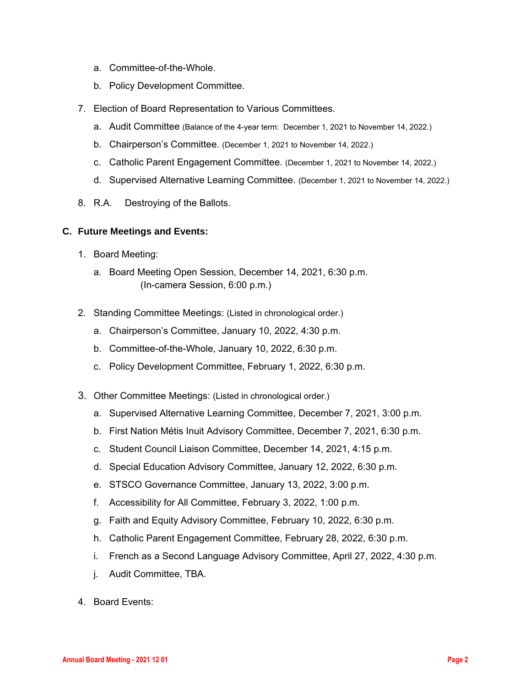- a. Committee-of-the-Whole.
- b. Policy Development Committee.
- 7. Election of Board Representation to Various Committees.
	- a. Audit Committee (Balance of the 4-year term: December 1, 2021 to November 14, 2022.)
	- b. Chairperson's Committee. (December 1, 2021 to November 14, 2022.)
	- c. Catholic Parent Engagement Committee. (December 1, 2021 to November 14, 2022.)
	- d. Supervised Alternative Learning Committee. (December 1, 2021 to November 14, 2022.)
- 8. R.A. Destroying of the Ballots.

#### **C. Future Meetings and Events:**

- 1. Board Meeting:
	- a. Board Meeting Open Session, December 14, 2021, 6:30 p.m. (In-camera Session, 6:00 p.m.)
- 2. Standing Committee Meetings: (Listed in chronological order.)
	- a. Chairperson's Committee, January 10, 2022, 4:30 p.m.
	- b. Committee-of-the-Whole, January 10, 2022, 6:30 p.m.
	- c. Policy Development Committee, February 1, 2022, 6:30 p.m.
- 3. Other Committee Meetings: (Listed in chronological order.)
	- a. Supervised Alternative Learning Committee, December 7, 2021, 3:00 p.m.
	- b. First Nation Métis Inuit Advisory Committee, December 7, 2021, 6:30 p.m.
	- c. Student Council Liaison Committee, December 14, 2021, 4:15 p.m.
	- d. Special Education Advisory Committee, January 12, 2022, 6:30 p.m.
	- e. STSCO Governance Committee, January 13, 2022, 3:00 p.m.
	- f. Accessibility for All Committee, February 3, 2022, 1:00 p.m.
	- g. Faith and Equity Advisory Committee, February 10, 2022, 6:30 p.m.
	- h. Catholic Parent Engagement Committee, February 28, 2022, 6:30 p.m.
	- i. French as a Second Language Advisory Committee, April 27, 2022, 4:30 p.m.
	- j. Audit Committee, TBA.
- 4. Board Events: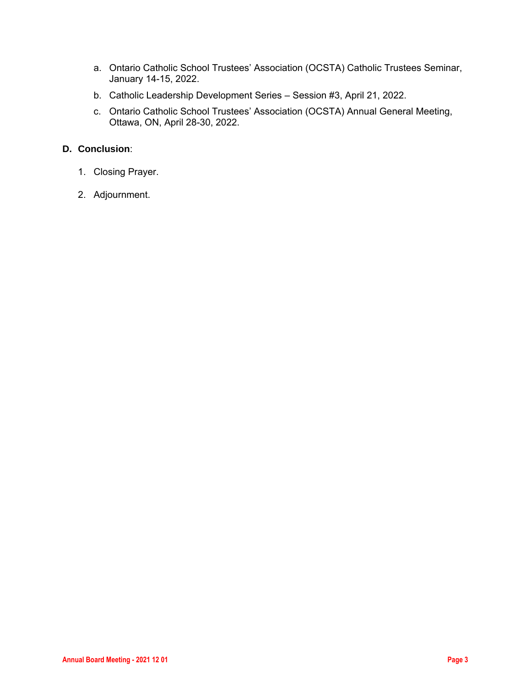- a. Ontario Catholic School Trustees' Association (OCSTA) Catholic Trustees Seminar, January 14-15, 2022.
- b. Catholic Leadership Development Series Session #3, April 21, 2022.
- c. Ontario Catholic School Trustees' Association (OCSTA) Annual General Meeting, Ottawa, ON, April 28-30, 2022.

#### **D. Conclusion**:

- 1. Closing Prayer.
- 2. Adjournment.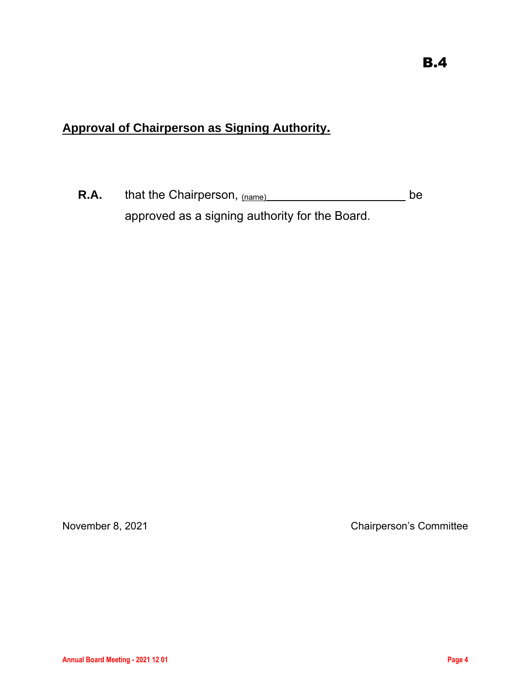# <span id="page-3-0"></span>**Approval of Chairperson as Signing Authority.**

**R.A.** that the Chairperson, (name) **be** be approved as a signing authority for the Board.

November 8, 2021 **Chairperson's Committee**